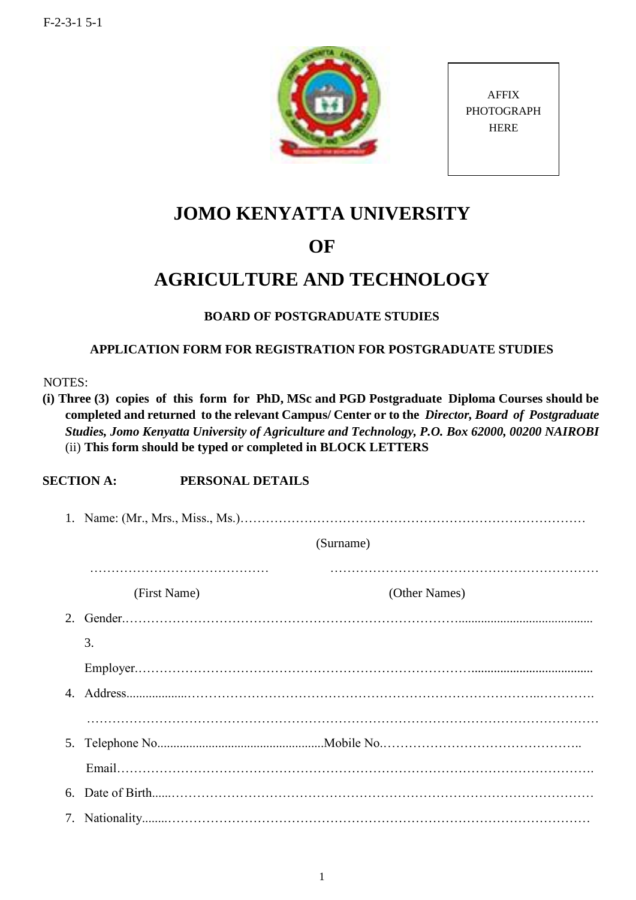

AFFIX PHOTOGRAPH HERE

# **JOMO KENYATTA UNIVERSITY**

## **OF**

## **AGRICULTURE AND TECHNOLOGY**

### **BOARD OF POSTGRADUATE STUDIES**

#### **APPLICATION FORM FOR REGISTRATION FOR POSTGRADUATE STUDIES**

NOTES:

**(i) Three (3) copies of this form for PhD, MSc and PGD Postgraduate Diploma Courses should be completed and returned to the relevant Campus/ Center or to the** *Director, Board of Postgraduate Studies, Jomo Kenyatta University of Agriculture and Technology, P.O. Box 62000, 00200 NAIROBI* (ii) **This form should be typed or completed in BLOCK LETTERS**

### **SECTION A: PERSONAL DETAILS**

| (Surname)    |               |  |
|--------------|---------------|--|
| (First Name) | (Other Names) |  |
|              |               |  |
| 3.           |               |  |
|              |               |  |
|              |               |  |
|              |               |  |
|              |               |  |
|              |               |  |
|              |               |  |
|              |               |  |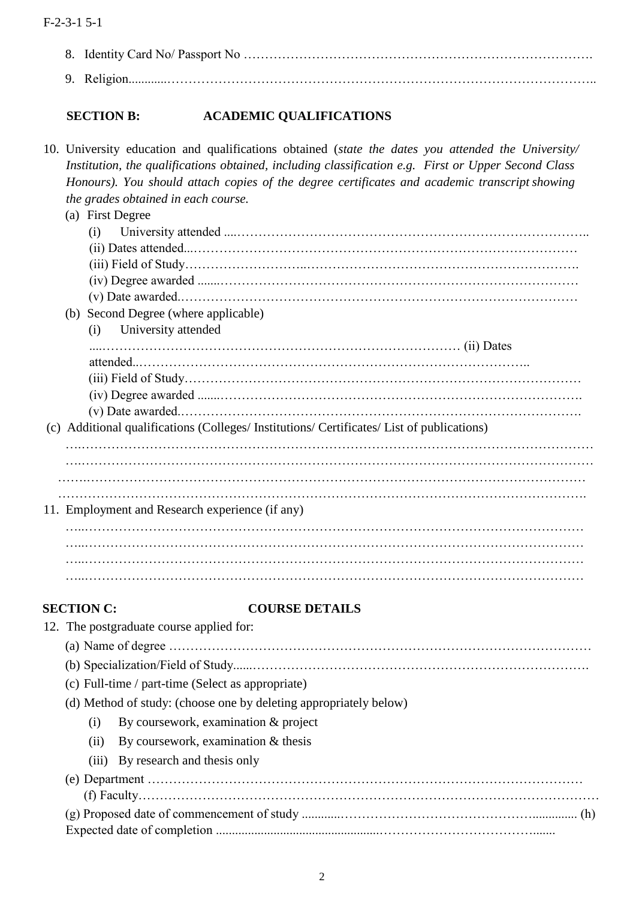| 8. |                                                                       |                                                                                                                                                                                                                                                                                                                                                                                                                                                                      |  |
|----|-----------------------------------------------------------------------|----------------------------------------------------------------------------------------------------------------------------------------------------------------------------------------------------------------------------------------------------------------------------------------------------------------------------------------------------------------------------------------------------------------------------------------------------------------------|--|
|    |                                                                       |                                                                                                                                                                                                                                                                                                                                                                                                                                                                      |  |
|    | <b>SECTION B:</b>                                                     | <b>ACADEMIC QUALIFICATIONS</b>                                                                                                                                                                                                                                                                                                                                                                                                                                       |  |
|    | the grades obtained in each course.<br>(a) First Degree<br>(i)<br>(i) | 10. University education and qualifications obtained (state the dates you attended the University/<br>Institution, the qualifications obtained, including classification e.g. First or Upper Second Class<br>Honours). You should attach copies of the degree certificates and academic transcript showing<br>(b) Second Degree (where applicable)<br>University attended<br>(c) Additional qualifications (Colleges/Institutions/Certificates/List of publications) |  |
|    | <b>SECTION C:</b>                                                     | 11. Employment and Research experience (if any)<br><b>COURSE DETAILS</b>                                                                                                                                                                                                                                                                                                                                                                                             |  |

|  | 12. The postgraduate course applied for:                          |                                      |  |
|--|-------------------------------------------------------------------|--------------------------------------|--|
|  |                                                                   |                                      |  |
|  |                                                                   |                                      |  |
|  | (c) Full-time / part-time (Select as appropriate)                 |                                      |  |
|  | (d) Method of study: (choose one by deleting appropriately below) |                                      |  |
|  | $\left( 1 \right)$                                                | By coursework, examination & project |  |
|  | (11)                                                              | By coursework, examination & thesis  |  |
|  |                                                                   | (iii) By research and thesis only    |  |
|  |                                                                   |                                      |  |
|  |                                                                   |                                      |  |
|  |                                                                   |                                      |  |
|  |                                                                   |                                      |  |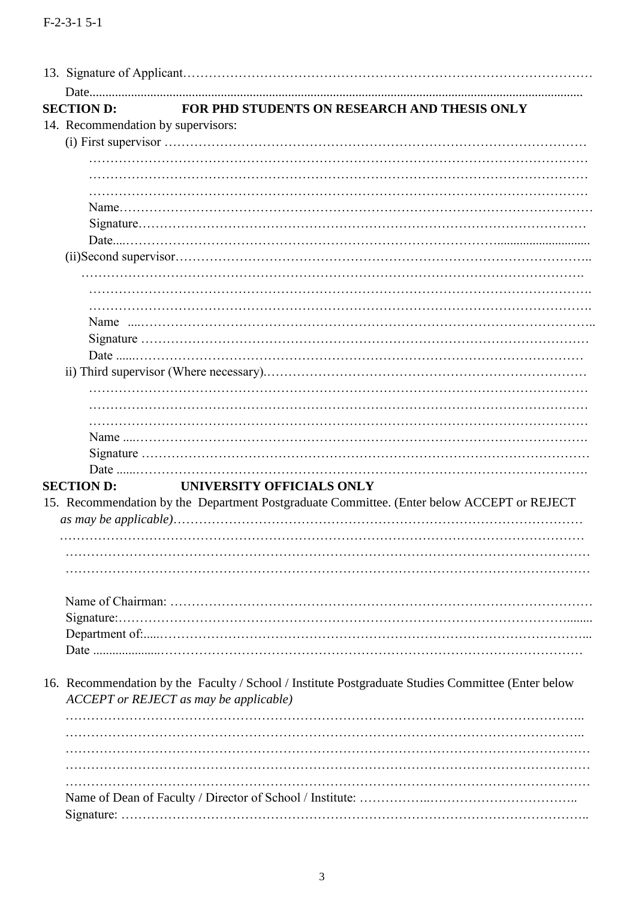| <b>SECTION D:</b>                  | FOR PHD STUDENTS ON RESEARCH AND THESIS ONLY                                                       |
|------------------------------------|----------------------------------------------------------------------------------------------------|
| 14. Recommendation by supervisors: |                                                                                                    |
|                                    |                                                                                                    |
|                                    |                                                                                                    |
|                                    |                                                                                                    |
|                                    |                                                                                                    |
|                                    |                                                                                                    |
|                                    |                                                                                                    |
|                                    |                                                                                                    |
|                                    |                                                                                                    |
|                                    |                                                                                                    |
|                                    |                                                                                                    |
|                                    |                                                                                                    |
|                                    |                                                                                                    |
|                                    |                                                                                                    |
|                                    |                                                                                                    |
|                                    |                                                                                                    |
|                                    |                                                                                                    |
|                                    |                                                                                                    |
|                                    |                                                                                                    |
|                                    |                                                                                                    |
|                                    |                                                                                                    |
|                                    |                                                                                                    |
|                                    |                                                                                                    |
|                                    |                                                                                                    |
|                                    | UNIVERSITY OFFICIALS ONLY                                                                          |
|                                    |                                                                                                    |
|                                    | 15. Recommendation by the Department Postgraduate Committee. (Enter below ACCEPT or REJECT         |
|                                    |                                                                                                    |
|                                    |                                                                                                    |
|                                    |                                                                                                    |
|                                    |                                                                                                    |
|                                    |                                                                                                    |
|                                    |                                                                                                    |
|                                    |                                                                                                    |
|                                    |                                                                                                    |
|                                    |                                                                                                    |
|                                    |                                                                                                    |
|                                    | 16. Recommendation by the Faculty / School / Institute Postgraduate Studies Committee (Enter below |
|                                    | ACCEPT or REJECT as may be applicable)                                                             |
|                                    |                                                                                                    |
|                                    |                                                                                                    |
|                                    |                                                                                                    |
|                                    |                                                                                                    |
| <b>SECTION D:</b>                  |                                                                                                    |
|                                    |                                                                                                    |